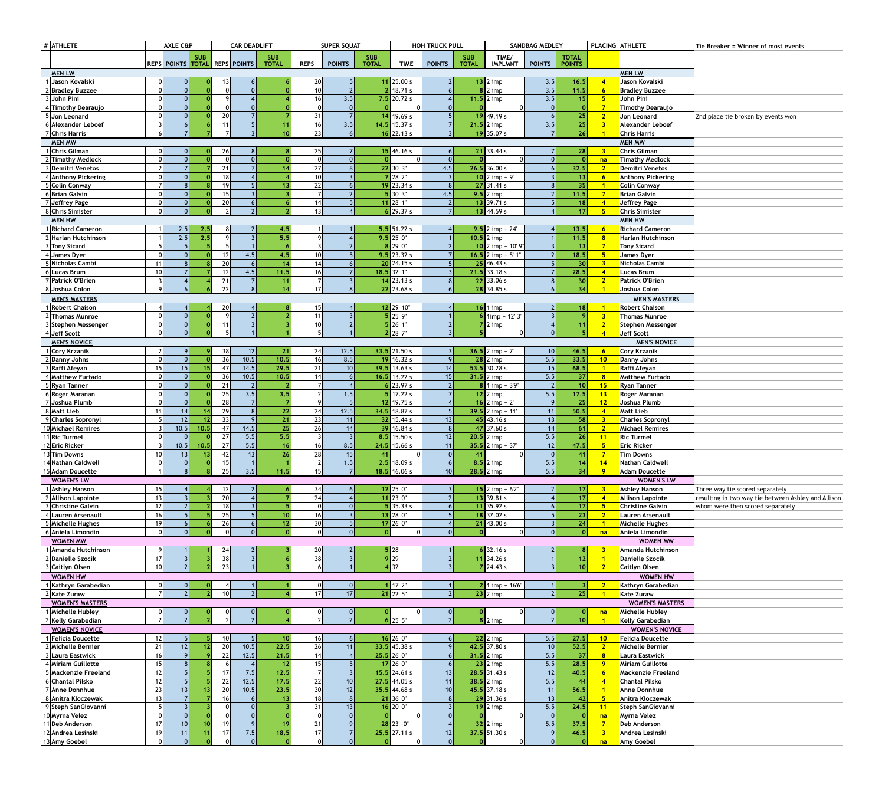| $#$ ATHLETE |                                        | <b>AXLE C&amp;P</b> |            |                 |                       | <b>CAR DEADLIFT</b>           |                  | <b>SUPER SQUAT</b>                 |                 |              | <b>HOH TRUCK PULL</b>         |                             |              | <b>SANDBAG MEDLEY</b>           |                        | PLACING ATHLETE |                                                    |  | Tie Breaker = Winner of most events               |                                                     |
|-------------|----------------------------------------|---------------------|------------|-----------------|-----------------------|-------------------------------|------------------|------------------------------------|-----------------|--------------|-------------------------------|-----------------------------|--------------|---------------------------------|------------------------|-----------------|----------------------------------------------------|--|---------------------------------------------------|-----------------------------------------------------|
|             |                                        |                     |            | <b>SUB</b>      |                       |                               | <b>SUB</b>       |                                    |                 | <b>SUB</b>   |                               |                             | <b>SUB</b>   | TIME/                           |                        | <b>TOTAL</b>    |                                                    |  |                                                   |                                                     |
|             | <b>MEN LW</b>                          |                     |            |                 |                       | REPS POINTS TOTAL REPS POINTS | <b>TOTAL</b>     | <b>REPS</b>                        | <b>POINTS</b>   | <b>TOTAL</b> | <b>TIME</b>                   | <b>POINTS</b>               | <b>TOTAL</b> | <b>IMPLMNT</b>                  | <b>POINTS</b>          | <b>POINTS</b>   |                                                    |  | <b>MEN LW</b>                                     |                                                     |
|             | 1 Jason Kovalski                       |                     |            |                 | 13                    |                               |                  | 20                                 |                 |              | $11$ 25.00 s                  | $\vert$ 2                   |              | $13$ 2 imp                      | 3.5                    | 16.5            |                                                    |  | Jason Kovalski                                    |                                                     |
|             | 2 Bradley Buzzee                       |                     |            |                 |                       |                               |                  | 10                                 |                 |              | 18.71 s                       |                             |              | $\vert$ 2 imp                   | $\overline{3.5}$       | 11.5            | $6\overline{6}$                                    |  | <b>Bradley Buzzee</b>                             |                                                     |
|             | $3$ John Pini                          |                     |            |                 |                       |                               |                  | 16 <sup>1</sup>                    | 3.5             |              | $7.5$ 20.72 s                 |                             |              | 11.5 $2 \text{ imp}$            | 3.5                    | 15              | 5                                                  |  | John Pini                                         |                                                     |
|             | 4 Timothy Dearaujo                     |                     |            |                 |                       |                               |                  |                                    |                 |              |                               |                             |              |                                 |                        |                 | $\overline{7}$                                     |  | <b>Timothy Dearaujo</b>                           |                                                     |
|             | 5 Jon Leonard<br>6 Alexander Leboef    |                     |            |                 | 20<br>11              |                               |                  | 31<br>16                           | 3.5             |              | 19.69 s<br>14.5 $15.37 s$     |                             |              | 19 49.19 s<br>$21.5$ 2 imp      | 3.5                    | 25<br>25        | $\overline{2}$<br>$\overline{\mathbf{3}}$          |  | <b>Jon Leonard</b><br><b>Alexander Leboef</b>     | 2nd place tie broken by events won                  |
|             | 7 Chris Harris                         |                     |            |                 |                       |                               | 10               | 23                                 |                 |              | $16$ 22.13 s                  |                             |              | $19$ 35.07 s                    |                        | 26              |                                                    |  | <b>Chris Harris</b>                               |                                                     |
|             | <b>MEN MW</b>                          |                     |            |                 |                       |                               |                  |                                    |                 |              |                               |                             |              |                                 |                        |                 |                                                    |  | <b>MEN MW</b>                                     |                                                     |
|             | 1 Chris Gilman                         |                     |            |                 | 26                    |                               |                  | 25                                 |                 |              | $15$ 46.16 s                  | 6 <sup>1</sup>              |              | $21$ 33.44 s                    |                        | 28              | $\overline{\mathbf{3}}$                            |  | Chris Gilman                                      |                                                     |
|             | 2 Timathy Medlock<br>3 Demitri Venetos |                     |            |                 | 21                    |                               | 14               | 27                                 |                 |              | $\cap$<br>22 30' 3"           | 4.5                         |              | $26.5$ 36.00 s                  |                        | 32.5            | na<br>$\overline{2}$                               |  | <b>Timathy Medlock</b><br><b>Demitri Venetos</b>  |                                                     |
|             | 4 Anthony Pickering                    |                     |            |                 | 18                    |                               |                  | 10 <sup>1</sup>                    |                 |              | 28' 2"                        |                             |              | $10$ 2 imp + 9'                 |                        | 13              | $6\overline{6}$                                    |  | <b>Anthony Pickering</b>                          |                                                     |
|             | 5 Colin Conway                         |                     |            |                 | 19                    |                               | $\overline{13}$  | 22                                 |                 |              | $19$ 23.34 s                  | 8                           |              | $27$ 31.41 s                    |                        | 35              |                                                    |  | <b>Colin Conway</b>                               |                                                     |
|             | 6Brian Galvin                          |                     |            |                 | 15                    |                               |                  |                                    |                 |              | 30' 3"                        | 4.5                         |              | $9.5$ 2 imp                     |                        | 11.5            | $\overline{7}$                                     |  | <b>Brian Galvin</b>                               |                                                     |
|             | 7 Jeffrey Page                         |                     |            |                 | 20                    | $\mathcal{L}$                 |                  | 13 <sup>1</sup>                    |                 |              | $11$ 28' 1"                   | $\vert$ 2<br>$\overline{7}$ |              | 13 39.71 s                      |                        | 18              |                                                    |  | <b>Jeffrey Page</b>                               |                                                     |
|             | 8 Chris Simister<br><b>MEN HW</b>      |                     |            |                 |                       |                               |                  |                                    |                 |              | $6$ 29.37 s                   |                             |              | 13   44.59 s                    |                        | 17              | $-5$                                               |  | <b>Chris Simister</b><br><b>MEN HW</b>            |                                                     |
|             | 1 Richard Cameron                      |                     | 2.5        | 2.5             |                       |                               | 4.5              |                                    |                 |              | $5.5$ 51.22 s                 |                             |              | 9.5 2 imp + 24'                 |                        | 13.5            | $6\overline{6}$                                    |  | <b>Richard Cameron</b>                            |                                                     |
|             | 2 Harlan Hutchinson                    |                     | 2.5        | 2.5             |                       | $\Omega$                      | $\overline{5.5}$ |                                    |                 |              | $9.5$ 25' 0"                  |                             |              | $10.5$ 2 imp                    |                        | 11.5            | 8                                                  |  | <b>Harlan Hutchinson</b>                          |                                                     |
|             | 3 Tony Sicard                          |                     |            |                 |                       |                               |                  |                                    |                 |              | 29' 0"                        |                             |              | $10$ 2 imp + 10' 9"             |                        | 13              | $\overline{7}$                                     |  | <b>Tony Sicard</b>                                |                                                     |
|             | 4 James Dyer                           |                     |            |                 | 12                    | 4.5                           | 4.5              | 10 <sup>1</sup>                    |                 |              | $9.5$ 23.32 s                 |                             |              | 16.5 2 imp + 5' 1"              |                        | 18.5            | $5\overline{)}$                                    |  | <b>James Dyer</b>                                 |                                                     |
|             | 5 Nicholas Cambi<br>6 Lucas Brum       | 10 <sup>1</sup>     |            |                 | 20<br>12              | 4.5                           | 14<br>11.5       | 16                                 |                 |              | $20$ 24.15 s<br>18.5 32' 1"   |                             |              | $25$ 46.43 s<br>$21.5$ 33.18 s  |                        | 30<br>28.5      | $\overline{\mathbf{3}}$                            |  | <b>Nicholas Cambi</b><br><b>Lucas Brum</b>        |                                                     |
|             | 7 Patrick O'Brien                      |                     |            |                 | 21                    |                               | 11               |                                    |                 |              | $14$ 23.13 s                  |                             |              | 22 33.06 s                      |                        | 30              | $\overline{2}$                                     |  | <b>Patrick O'Brien</b>                            |                                                     |
|             | 8 Joshua Colon                         | $\Omega$            |            |                 | 22                    |                               | $\overline{14}$  | 17 <sup>1</sup>                    |                 |              | $22$ 23.68 s                  |                             |              | 28 34.85 s                      |                        | 34              |                                                    |  | Joshua Colon                                      |                                                     |
|             | <b>MEN'S MASTERS</b>                   |                     |            |                 |                       |                               |                  |                                    |                 |              |                               |                             |              |                                 |                        |                 |                                                    |  | <b>MEN'S MASTERS</b>                              |                                                     |
|             | 1 Robert Chaison                       |                     |            |                 | 20                    |                               |                  | 15 <sub>l</sub>                    |                 |              | 12 29' 10"                    |                             |              | $16$ 1 imp                      |                        | 18              |                                                    |  | <b>Robert Chaison</b>                             |                                                     |
|             | 2 Thomas Munroe                        |                     |            |                 | 11                    |                               |                  | 11<br>10                           |                 |              | $5$   25' 9"<br>26' 1"        |                             |              | 6 $1$ imp + 12' 3"<br>$7 2$ imp |                        | -9              | $\overline{\mathbf{3}}$                            |  | Thomas Munroe                                     |                                                     |
|             | 3 Stephen Messenger<br>$4$ Jeff Scott  |                     |            |                 |                       |                               |                  |                                    |                 |              | 28' 7"                        |                             |              |                                 |                        | 11              | $\overline{2}$                                     |  | Stephen Messenger<br><b>Jeff Scott</b>            |                                                     |
|             | <b>MEN'S NOVICE</b>                    |                     |            |                 |                       |                               |                  |                                    |                 |              |                               |                             |              |                                 |                        |                 |                                                    |  | <b>MEN'S NOVICE</b>                               |                                                     |
|             | 1 Cory Krzanik                         |                     |            |                 | 38                    | 12                            | 21               | 24                                 | 12.5            |              | $33.5$ 21.50 s                | 3 <sup>1</sup>              |              | $36.5$ 2 imp + 7                | 10 <sup>1</sup>        | 46.5            | $6\overline{6}$                                    |  | <b>Cory Krzanik</b>                               |                                                     |
|             | 2 Danny Johns                          |                     |            |                 | 36                    | 10.5                          | 10.5             | 16                                 | 8.5             |              | $19$ 16.32 s                  | 9                           |              | $28$ 2 imp                      | $\overline{5.5}$       | 33.5            | 10                                                 |  | Danny Johns                                       |                                                     |
|             | 3 Raffi Afeyan<br>4 Matthew Furtado    |                     | 15         |                 | 47<br>36              | 14.5<br>10.5                  | 29.5<br>10.5     | 21                                 | 10              | 16.5         | $39.5$ 13.63 s<br>13.22 s     | 14                          |              | $53.5$ 30.28 s<br>$31.5$ 2 imp  | 15<br>$\overline{5.5}$ | 68.5<br>37      |                                                    |  | Raffi Afeyan<br><b>Matthew Furtado</b>            |                                                     |
|             | 5 Ryan Tanner                          |                     |            |                 | 21                    |                               |                  |                                    |                 |              | 23.97 s                       | 15<br>$\overline{2}$        |              | $1$ imp + 3'9"                  |                        | 10 <sup>1</sup> | 15                                                 |  | <b>Ryan Tanner</b>                                |                                                     |
|             | 6 Roger Maranan                        |                     |            |                 | 25                    | 3.5                           | 3.5              |                                    | 1.5             |              | 17.22 s                       | $\overline{7}$              |              | $12$ 2 imp                      | 5.5                    | 17.5            | 13                                                 |  | Roger Maranan                                     |                                                     |
|             | 7 Joshua Plumb                         |                     |            |                 | 28                    |                               |                  |                                    |                 | 12           | 19.75 s                       |                             |              | 16 2 imp + 2'                   |                        | 25              | 12                                                 |  | Joshua Plumb                                      |                                                     |
|             | 8 Matt Lieb                            | 11                  | 14         |                 | 29                    |                               | 22               | 24                                 | 12.5            |              | $34.5$ 18.87 s                |                             |              | $39.5$ 2 imp + 11'              | 11                     | 50.5            |                                                    |  | <b>Matt Lieb</b>                                  |                                                     |
|             | 9 Charles Sopronyl                     |                     | 12<br>10.5 | 10.5            | 33<br>47              | 14.5                          | 21<br>25         | 23<br>26                           | 11              | 39           | $32$ 15.44 s<br>16.84 s       | 13<br> 8                    |              | $45$ 43.16 s<br>47 37.60 s      | 13<br>14               | 58<br>61        | $\overline{\mathbf{3}}$<br>$\overline{2}$          |  | <b>Charles Sopronyl</b><br><b>Michael Remires</b> |                                                     |
|             | 10 Michael Remires<br>11Ric Turmel     |                     |            |                 | 27                    | 5.5                           | $\overline{5.5}$ |                                    | 14              |              | $8.5$ 15.50 s                 | 12                          |              | $20.5$ 2 imp                    | $\overline{5.5}$       | 26              | 11                                                 |  | <b>Ric Turmel</b>                                 |                                                     |
|             | 12 Eric Ricker                         |                     | 10.5       | 10.5            | 27                    | $\overline{5.5}$              | 16               | 16                                 | 8.5             | 24.5         | 15.66 s                       | 11                          |              | $35.5$ 2 imp + 37               | 12                     | 47.5            | 5                                                  |  | Eric Ricker                                       |                                                     |
|             | 13Tim Downs                            |                     | 13         |                 | 42                    | 13                            | 26               | 28                                 | 15              | 41           |                               | 0                           |              |                                 |                        | 41              | - 7                                                |  | <b>Tim Downs</b>                                  |                                                     |
|             | 14 Nathan Caldwell                     |                     |            |                 | 15                    |                               |                  |                                    | 1.5             |              | $2.5$ 18.09 s                 | 6 <sup>1</sup>              |              | $8.5$ 2 imp                     | 5.5                    | 14              | 14                                                 |  | <b>Nathan Caldwell</b>                            |                                                     |
|             | 15 Adam Doucette<br><b>WOMEN'S LW</b>  |                     |            |                 | 25                    | 3.5                           | 11.5             | 15 <sup>1</sup>                    |                 |              | $18.5$ 16.06 s                | 10 <sup>1</sup>             |              | 28.5 2 imp                      | 5.5                    | 34              | - 9                                                |  | <b>Adam Doucette</b><br><b>WOMEN'S LW</b>         |                                                     |
|             | 1 Ashley Hanson                        | 15 <sup>2</sup>     |            |                 |                       | 12                            |                  | 34                                 |                 |              | 12 25' 0"                     | $\vert 3 \vert$             |              | $15$ 2 imp + 6'2"               |                        | 17              | $\overline{\mathbf{3}}$                            |  | <b>Ashley Hanson</b>                              | Three way tie scored separately                     |
|             | 2 Allison Lapointe                     | 13 <sup>1</sup>     |            |                 | 20                    |                               |                  | 24                                 |                 |              | $11$ 23' 0"                   | 2                           |              | $13$ 39.81 s                    |                        | 17              |                                                    |  | <b>Allison Lapointe</b>                           | resulting in two way tie between Ashley and Allison |
|             | 3 Christine Galvin                     | 12 <sub>l</sub>     |            |                 | 18                    |                               |                  |                                    |                 |              | 35.33 s                       |                             |              | $1$ 35.92 s                     |                        | 17              | $5\overline{)}$                                    |  | <b>Christine Galvin</b>                           | whom were then scored separately                    |
|             | 4 Lauren Arsenault                     | 16 <sup>1</sup>     |            |                 | 25                    |                               | 10               | 16                                 |                 |              | 13 28' 0"                     |                             |              | $18$ 37.02 s                    |                        | 23              | $\overline{2}$                                     |  | Lauren Arsenault                                  |                                                     |
|             | 5 Michelle Hughes<br>6 Aniela Limondin | 19<br>$\Omega$      |            |                 | 26                    |                               | 12               | 30                                 |                 |              | 17 26' 0"                     | $\Omega$                    |              | $21$ 43.00 s                    |                        | 24<br>$\Omega$  | na                                                 |  | Michelle Hughes<br>Aniela Limondin                |                                                     |
|             | <b>WOMEN MW</b>                        |                     |            |                 |                       |                               |                  |                                    |                 |              |                               |                             |              |                                 |                        |                 |                                                    |  | <b>WOMEN MW</b>                                   |                                                     |
|             | 1 Amanda Hutchinson                    | 91                  |            |                 | 24                    | $\overline{2}$                |                  | 20 <sup>1</sup>                    | 2 <sup>1</sup>  |              | $5$   28'                     |                             |              | $6$ 32.16 s                     |                        |                 |                                                    |  | <b>Amanda Hutchinson</b>                          |                                                     |
|             | 2 Danielle Szocik                      | 17                  |            |                 | 38                    |                               |                  | 38                                 |                 |              | 9 29                          | 2                           |              | $11$ 34.26 s                    |                        | 12              |                                                    |  | <b>Danielle Szocik</b>                            |                                                     |
|             | 3 Caitlyn Olsen                        | 10 <sup>1</sup>     |            |                 | 23                    |                               |                  |                                    |                 |              | 4 32                          | $\vert$ 3                   |              | $7$ 24.43 s                     |                        | 10 <sup>1</sup> | $\overline{2}$                                     |  | <b>Caitlyn Olsen</b>                              |                                                     |
|             | <b>WOMEN HW</b>                        |                     |            |                 |                       |                               |                  |                                    |                 |              |                               |                             |              |                                 |                        |                 |                                                    |  | <b>WOMEN HW</b>                                   |                                                     |
|             | 1 Kathryn Garabedian<br>$2$ Kate Zuraw | $\overline{7}$      |            |                 | 10 <sup>1</sup>       |                               |                  |                                    | 17              |              | 17' 2"<br>21 22 5             | $\overline{2}$              |              | $21$ imp + 16'6"<br>23 2 imp    |                        | 25              |                                                    |  | Kathryn Garabedian<br><b>Kate Zuraw</b>           |                                                     |
|             | <b>WOMEN'S MASTERS</b>                 |                     |            |                 |                       |                               |                  |                                    |                 |              |                               |                             |              |                                 |                        |                 |                                                    |  | <b>WOMEN'S MASTERS</b>                            |                                                     |
|             | 1 Michelle Hubley                      |                     |            |                 |                       |                               |                  |                                    |                 | 0            | 0                             | 0                           |              |                                 |                        | 0               | na                                                 |  | <b>Michelle Hubley</b>                            |                                                     |
|             | 2 Kelly Garabedian                     |                     |            |                 |                       |                               |                  |                                    |                 |              | $6$ 25' 5"                    | 2 <sup>1</sup>              |              | $8$ 2 imp                       |                        | 10 <sup>1</sup> |                                                    |  | Kelly Garabedian                                  |                                                     |
|             | <b>WOMEN'S NOVICE</b>                  |                     |            |                 |                       |                               |                  |                                    |                 |              |                               |                             |              |                                 |                        |                 |                                                    |  | <b>WOMEN'S NOVICE</b>                             |                                                     |
|             | 1 Felicia Doucette                     | 12<br>21            | 12         |                 | 10 <sup>1</sup><br>20 | 10.5                          | 10<br>22.5       | 16<br>26                           | 11              |              | $16$ 26' 0"<br>$33.5$ 45.38 s | 6 <sup>1</sup>              |              | $22$ 2 imp<br>42.5 37.80 s      | 5.5<br>10              | 27.5            | 10                                                 |  | Felicia Doucette<br>Michelle Bernier              |                                                     |
|             | 2 Michelle Bernier<br>3 Laura Eastwick | 16                  |            |                 | 22                    | 12.5                          | 21.5             |                                    |                 |              | $25.5$ $26'0''$               |                             |              | $31.5$ 2 imp                    | 5.5                    | 52.5<br>37      | $\overline{\mathbf{2}}$<br>$\overline{\mathbf{8}}$ |  | <b>Laura Eastwick</b>                             |                                                     |
|             | 4 Miriam Guillotte                     | 15 <sup>1</sup>     |            |                 |                       |                               | 12               | 15                                 |                 |              | $17$ 26' 0"                   |                             |              | $23$ 2 imp                      | 5.5                    | 28.5            | $\overline{9}$                                     |  | <b>Miriam Guillotte</b>                           |                                                     |
|             | 5 Mackenzie Freeland                   | 12                  |            |                 | 17                    | 7.5                           | 12.5             |                                    |                 |              | $15.5$ 24.61 s                | 13                          |              | $28.5$ 31.43 s                  | 12                     | 40.5            | $6\overline{6}$                                    |  | <b>Mackenzie Freeland</b>                         |                                                     |
|             | 6 Chantal Pilsko                       |                     |            |                 | 22                    | 12.5                          | 17.5             | 22                                 | 10 <sup>1</sup> |              | $27.5$ 44.05 s                | 11                          |              | $38.5$ 2 imp                    | $\overline{5.5}$       | 44              |                                                    |  | <b>Chantal Pilsko</b>                             |                                                     |
|             | 7 Anne Donnhue<br>8 Anitra Kloczewak   | 23                  | 13         |                 | 20<br>16              | 10.5                          | 23.5<br>13       | 30 <sup>1</sup><br>18 <sup>1</sup> | 12              |              | $35.5$ 44.68 s<br>$21$ 36' 0" | 10<br>8 <sup>1</sup>        |              | 45.5 37.18 s<br>$29$ 31.36 s    | 11<br>13               | 56.5            | $5\overline{5}$                                    |  | <b>Anne Donnhue</b><br>Anitra Kloczewak           |                                                     |
|             | 9 Steph SanGiovanni                    |                     |            |                 |                       |                               |                  | 31                                 | 13              |              | $16$ 20' 0"                   |                             |              | $19$ 2 imp                      | 5.5                    | 42<br>24.5      | 11                                                 |  | <b>Steph SanGiovanni</b>                          |                                                     |
|             | 10 Myrna Velez                         |                     |            |                 |                       |                               |                  |                                    |                 |              |                               |                             |              |                                 |                        |                 | na                                                 |  | Myrna Velez                                       |                                                     |
|             | 11Deb Anderson                         | 17 <sup>1</sup>     | 10         | 10 <sup>1</sup> | 19                    |                               | 19               | 21                                 |                 |              | $28$ $23'$ 0"                 |                             |              | $32$ 2 imp                      | 5.5                    | 37.5            | $\overline{7}$                                     |  | <b>Deb Anderson</b>                               |                                                     |
|             | 12 Andrea Lesinski                     | 19 I                | 11         |                 | 17                    | 7.5                           | 18.5             | 17                                 |                 |              | $25.5$ 27.11 s                | 12                          |              | $37.5$ 51.30 s                  |                        | 46.5            | $\overline{\mathbf{3}}$                            |  | Andrea Lesinski                                   |                                                     |
|             | 13 Amy Goebel                          |                     |            |                 |                       |                               |                  |                                    |                 | $\Omega$     | 0                             | 0                           |              |                                 |                        | $\overline{0}$  | na                                                 |  | Amy Goebel                                        |                                                     |